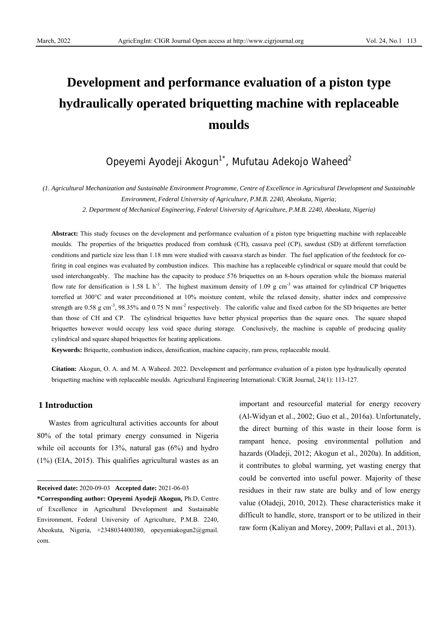# **Development and performance evaluation of a piston type hydraulically operated briquetting machine with replaceable moulds**

# Opeyemi Ayodeji Akogun<sup>1\*</sup>, Mufutau Adekojo Waheed<sup>2</sup>

*(1. Agricultural Mechanization and Sustainable Environment Programme, Centre of Excellence in Agricultural Development and Sustainable Environment, Federal University of Agriculture, P.M.B. 2240, Abeokuta, Nigeria;* 

*2. Department of Mechanical Engineering, Federal University of Agriculture, P.M.B. 2240, Abeokuta, Nigeria)* 

**Abstract:** This study focuses on the development and performance evaluation of a piston type briquetting machine with replaceable moulds. The properties of the briquettes produced from cornhusk (CH), cassava peel (CP), sawdust (SD) at different torrefaction conditions and particle size less than 1.18 mm were studied with cassava starch as binder. The fuel application of the feedstock for cofiring in coal engines was evaluated by combustion indices. This machine has a replaceable cylindrical or square mould that could be used interchangeably. The machine has the capacity to produce 576 briquettes on an 8-hours operation while the biomass material flow rate for densification is 1.58 L  $h^{-1}$ . The highest maximum density of 1.09 g cm<sup>-3</sup> was attained for cylindrical CP briquettes torrefied at 300°C and water preconditioned at 10% moisture content, while the relaxed density, shatter index and compressive strength are 0.58 g cm<sup>-3</sup>, 98.35% and 0.75 N mm<sup>-2</sup> respectively. The calorific value and fixed carbon for the SD briquettes are better than those of CH and CP. The cylindrical briquettes have better physical properties than the square ones. The square shaped briquettes however would occupy less void space during storage. Conclusively, the machine is capable of producing quality cylindrical and square shaped briquettes for heating applications.

**Keywords:** Briquette, combustion indices, densification, machine capacity, ram press, replaceable mould.

**Citation:** Akogun, O. A. and M. A Waheed. 2022. Development and performance evaluation of a piston type hydraulically operated briquetting machine with replaceable moulds. Agricultural Engineering International: CIGR Journal, 24(1): 113-127.

# **1 Introduction**

Wastes from agricultural activities accounts for about 80% of the total primary energy consumed in Nigeria while oil accounts for  $13\%$ , natural gas  $(6\%)$  and hydro (1%) (EIA, 2015). This qualifies agricultural wastes as an

important and resourceful material for energy recovery (Al-Widyan et al., 2002; Guo et al., 2016a). Unfortunately, the direct burning of this waste in their loose form is rampant hence, posing environmental pollution and hazards (Oladeji, 2012; Akogun et al., 2020a). In addition, it contributes to global warming, yet wasting energy that could be converted into useful power. Majority of these residues in their raw state are bulky and of low energy value (Oladeji, 2010, 2012). These characteristics make it difficult to handle, store, transport or to be utilized in their raw form (Kaliyan and Morey, 2009; Pallavi et al., 2013).

**Received date:** 2020-09-03 **Accepted date:** 2021-06-03

**<sup>\*</sup>Corresponding author: Opeyemi Ayodeji Akogun,** Ph.D, Centre of Excellence in Agricultural Development and Sustainable Environment, Federal University of Agriculture, P.M.B. 2240, Abeokuta, Nigeria, +2348034400380, opeyemiakogun2@gmail. com.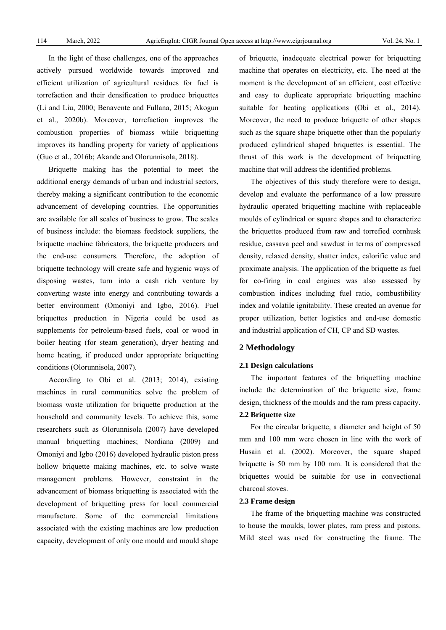In the light of these challenges, one of the approaches actively pursued worldwide towards improved and efficient utilization of agricultural residues for fuel is torrefaction and their densification to produce briquettes (Li and Liu, 2000; Benavente and Fullana, 2015; Akogun et al., 2020b). Moreover, torrefaction improves the combustion properties of biomass while briquetting improves its handling property for variety of applications (Guo et al., 2016b; Akande and Olorunnisola, 2018).

Briquette making has the potential to meet the additional energy demands of urban and industrial sectors, thereby making a significant contribution to the economic advancement of developing countries. The opportunities are available for all scales of business to grow. The scales of business include: the biomass feedstock suppliers, the briquette machine fabricators, the briquette producers and the end-use consumers. Therefore, the adoption of briquette technology will create safe and hygienic ways of disposing wastes, turn into a cash rich venture by converting waste into energy and contributing towards a better environment (Omoniyi and Igbo, 2016). Fuel briquettes production in Nigeria could be used as supplements for petroleum-based fuels, coal or wood in boiler heating (for steam generation), dryer heating and home heating, if produced under appropriate briquetting conditions (Olorunnisola, 2007).

According to Obi et al. (2013; 2014), existing machines in rural communities solve the problem of biomass waste utilization for briquette production at the household and community levels. To achieve this, some researchers such as Olorunnisola (2007) have developed manual briquetting machines; Nordiana (2009) and Omoniyi and Igbo (2016) developed hydraulic piston press hollow briquette making machines, etc. to solve waste management problems. However, constraint in the advancement of biomass briquetting is associated with the development of briquetting press for local commercial manufacture. Some of the commercial limitations associated with the existing machines are low production capacity, development of only one mould and mould shape

of briquette, inadequate electrical power for briquetting machine that operates on electricity, etc. The need at the moment is the development of an efficient, cost effective and easy to duplicate appropriate briquetting machine suitable for heating applications (Obi et al., 2014). Moreover, the need to produce briquette of other shapes such as the square shape briquette other than the popularly produced cylindrical shaped briquettes is essential. The thrust of this work is the development of briquetting machine that will address the identified problems.

The objectives of this study therefore were to design, develop and evaluate the performance of a low pressure hydraulic operated briquetting machine with replaceable moulds of cylindrical or square shapes and to characterize the briquettes produced from raw and torrefied cornhusk residue, cassava peel and sawdust in terms of compressed density, relaxed density, shatter index, calorific value and proximate analysis. The application of the briquette as fuel for co-firing in coal engines was also assessed by combustion indices including fuel ratio, combustibility index and volatile ignitability. These created an avenue for proper utilization, better logistics and end-use domestic and industrial application of CH, CP and SD wastes.

# **2 Methodology**

# **2.1 Design calculations**

The important features of the briquetting machine include the determination of the briquette size, frame design, thickness of the moulds and the ram press capacity.

# **2.2 Briquette size**

For the circular briquette, a diameter and height of 50 mm and 100 mm were chosen in line with the work of Husain et al. (2002). Moreover, the square shaped briquette is 50 mm by 100 mm. It is considered that the briquettes would be suitable for use in convectional charcoal stoves.

#### **2.3 Frame design**

The frame of the briquetting machine was constructed to house the moulds, lower plates, ram press and pistons. Mild steel was used for constructing the frame. The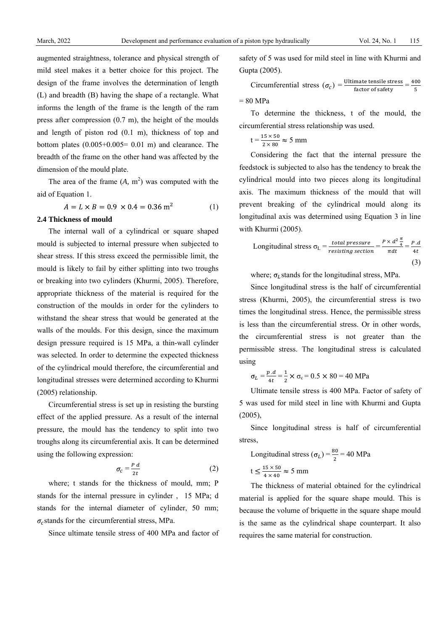augmented straightness, tolerance and physical strength of mild steel makes it a better choice for this project. The design of the frame involves the determination of length (L) and breadth (B) having the shape of a rectangle. What informs the length of the frame is the length of the ram press after compression (0.7 m), the height of the moulds and length of piston rod (0.1 m), thickness of top and bottom plates  $(0.005+0.005= 0.01$  m) and clearance. The breadth of the frame on the other hand was affected by the dimension of the mould plate.

The area of the frame  $(A, m^2)$  was computed with the aid of Equation 1.

$$
A = L \times B = 0.9 \times 0.4 = 0.36 \text{ m}^2 \tag{1}
$$

# **2.4 Thickness of mould**

The internal wall of a cylindrical or square shaped mould is subjected to internal pressure when subjected to shear stress. If this stress exceed the permissible limit, the mould is likely to fail by either splitting into two troughs or breaking into two cylinders (Khurmi, 2005). Therefore, appropriate thickness of the material is required for the construction of the moulds in order for the cylinders to withstand the shear stress that would be generated at the walls of the moulds. For this design, since the maximum design pressure required is 15 MPa, a thin-wall cylinder was selected. In order to determine the expected thickness of the cylindrical mould therefore, the circumferential and longitudinal stresses were determined according to Khurmi (2005) relationship.

Circumferential stress is set up in resisting the bursting effect of the applied pressure. As a result of the internal pressure, the mould has the tendency to split into two troughs along its circumferential axis. It can be determined using the following expression:

$$
\sigma_c = \frac{P d}{2t} \tag{2}
$$

where; t stands for the thickness of mould, mm; P stands for the internal pressure in cylinder , 15 MPa; d stands for the internal diameter of cylinder, 50 mm;  $\sigma_c$  stands for the circumferential stress, MPa.

Since ultimate tensile stress of 400 MPa and factor of

safety of 5 was used for mild steel in line with Khurmi and Gupta (2005).

Circumferential stress  $(\sigma_c) = \frac{\text{Ultimate tensile stress}}{\text{factor of safety}} = \frac{400}{5}$  $= 80$  MPa

To determine the thickness, t of the mould, the circumferential stress relationship was used.

$$
t = \frac{15 \times 50}{2 \times 80} \approx 5 \text{ mm}
$$

Considering the fact that the internal pressure the feedstock is subjected to also has the tendency to break the cylindrical mould into two pieces along its longitudinal axis. The maximum thickness of the mould that will prevent breaking of the cylindrical mould along its longitudinal axis was determined using Equation 3 in line with Khurmi (2005).

Longitudinal stress 
$$
\sigma_L = \frac{total pressure}{resisting section} = \frac{P \times d^2 \frac{\pi}{4}}{\pi dt} = \frac{P.d}{4t}
$$
 (3)

where;  $\sigma_l$  stands for the longitudinal stress, MPa.

Since longitudinal stress is the half of circumferential stress (Khurmi, 2005), the circumferential stress is two times the longitudinal stress. Hence, the permissible stress is less than the circumferential stress. Or in other words, the circumferential stress is not greater than the permissible stress. The longitudinal stress is calculated using

$$
\sigma_L = \frac{p.d}{4t} = \frac{1}{2} \times \sigma_c = 0.5 \times 80 = 40 \text{ MPa}
$$

Ultimate tensile stress is 400 MPa. Factor of safety of 5 was used for mild steel in line with Khurmi and Gupta  $(2005)$ ,

Since longitudinal stress is half of circumferential stress,

Longitudinal stress  $(\sigma_L) = \frac{80}{2} = 40 \text{ MPa}$  $t < \frac{15 \times 50}{ }$ 

$$
\leq \frac{13 \times 50}{4 \times 40} \approx 5 \text{ mm}
$$

The thickness of material obtained for the cylindrical material is applied for the square shape mould. This is because the volume of briquette in the square shape mould is the same as the cylindrical shape counterpart. It also requires the same material for construction.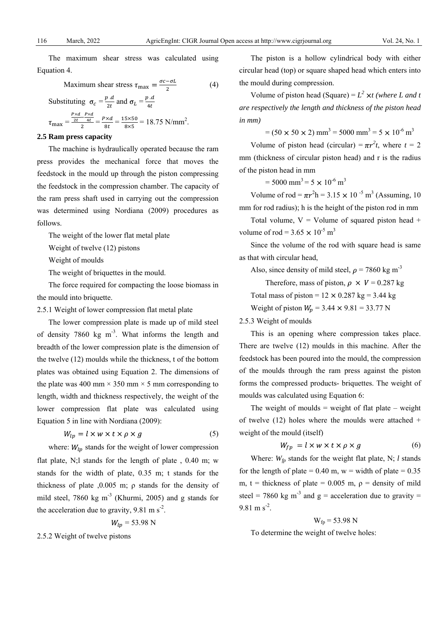The maximum shear stress was calculated using Equation 4.

Maximum shear stress 
$$
\tau_{\text{max}} = \frac{\sigma c - \sigma L}{2}
$$
 (4)

Substituting 
$$
\sigma_c = \frac{p \cdot d}{2t}
$$
 and  $\sigma_L = \frac{p \cdot d}{4t}$   

$$
\tau_{\text{max}} = \frac{\frac{p \times d}{2t} - \frac{p \times d}{4t}}{2t} = \frac{p \times d}{8t} = \frac{15 \times 50}{8 \times 5} = 18.75 \text{ N/mm}^2.
$$

#### **2.5 Ram press capacity**

The machine is hydraulically operated because the ram press provides the mechanical force that moves the feedstock in the mould up through the piston compressing the feedstock in the compression chamber. The capacity of the ram press shaft used in carrying out the compression was determined using Nordiana (2009) procedures as follows.

The weight of the lower flat metal plate

Weight of twelve (12) pistons

Weight of moulds

The weight of briquettes in the mould.

The force required for compacting the loose biomass in the mould into briquette.

2.5.1 Weight of lower compression flat metal plate

The lower compression plate is made up of mild steel of density 7860 kg  $m^{-3}$ . What informs the length and breadth of the lower compression plate is the dimension of the twelve (12) moulds while the thickness, t of the bottom plates was obtained using Equation 2. The dimensions of the plate was 400 mm  $\times$  350 mm  $\times$  5 mm corresponding to length, width and thickness respectively, the weight of the lower compression flat plate was calculated using Equation 5 in line with Nordiana (2009):

$$
W_{lp} = l \times w \times t \times \rho \times g \tag{5}
$$

where:  $W_{lp}$  stands for the weight of lower compression flat plate, N;l stands for the length of plate , 0.40 m; w stands for the width of plate, 0.35 m; t stands for the thickness of plate ,0.005 m;  $\rho$  stands for the density of mild steel, 7860 kg m<sup>-3</sup> (Khurmi, 2005) and g stands for the acceleration due to gravity,  $9.81 \text{ m s}^2$ .

$$
V_{lp} = 53.98 \text{ N}
$$

2.5.2 Weight of twelve pistons

The piston is a hollow cylindrical body with either circular head (top) or square shaped head which enters into the mould during compression.

Volume of piston head (Square) =  $L^2 \times t$  (where L and t *are respectively the length and thickness of the piston head in mm)*

 $= (50 \times 50 \times 2)$  mm<sup>3</sup> = 5000 mm<sup>3</sup> = 5  $\times$  10<sup>-6</sup> m<sup>3</sup>

Volume of piston head (circular) =  $\pi r^2 t$ , where  $t = 2$ mm (thickness of circular piston head) and r is the radius of the piston head in mm

 $= 5000$  mm<sup>3</sup> $= 5 \times 10^{-6}$  m<sup>3</sup>

Volume of rod =  $\pi r^2 h = 3.15 \times 10^{-5}$  m<sup>3</sup> (Assuming, 10) mm for rod radius); h is the height of the piston rod in mm

Total volume,  $V =$  Volume of squared piston head  $+$ volume of rod =  $3.65 \times 10^{-5}$  m<sup>3</sup>

Since the volume of the rod with square head is same as that with circular head,

Also, since density of mild steel,  $\rho = 7860 \text{ kg m}^{-3}$ 

Therefore, mass of piston,  $\rho \times V = 0.287$  kg

Total mass of piston =  $12 \times 0.287$  kg = 3.44 kg

Weight of piston  $W_p = 3.44 \times 9.81 = 33.77$  N

2.5.3 Weight of moulds

This is an opening where compression takes place. There are twelve (12) moulds in this machine. After the feedstock has been poured into the mould, the compression of the moulds through the ram press against the piston forms the compressed products- briquettes. The weight of moulds was calculated using Equation 6:

The weight of moulds  $=$  weight of flat plate  $-$  weight of twelve  $(12)$  holes where the moulds were attached + weight of the mould (itself)

$$
W_{fp} = l \times w \times t \times \rho \times g \tag{6}
$$

Where:  $W_{fp}$  stands for the weight flat plate, N; *l* stands for the length of plate =  $0.40$  m, w = width of plate =  $0.35$ m, t = thickness of plate =  $0.005$  m,  $\rho$  = density of mild steel = 7860 kg m<sup>-3</sup> and g = acceleration due to gravity = 9.81 m  $s^2$ .

$$
W_{fp} = 53.98 \text{ N}
$$

To determine the weight of twelve holes: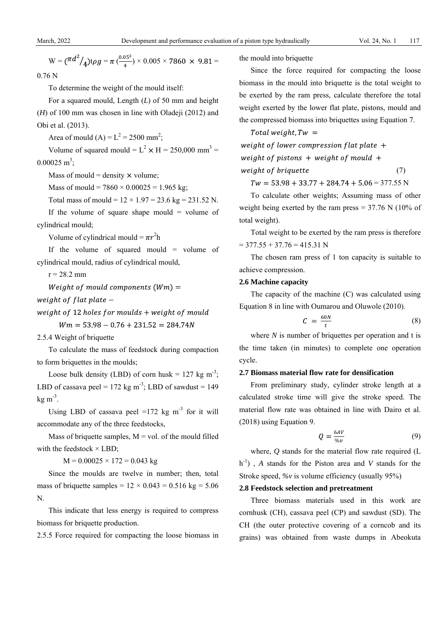$W = (\frac{\pi d^2}{4}) \tau \rho g = \pi \left(\frac{0.05^2}{4}\right) \times 0.005 \times 7860 \times 9.81 =$ 0.76 N

To determine the weight of the mould itself:

For a squared mould, Length (*L*) of 50 mm and height (*H*) of 100 mm was chosen in line with Oladeji (2012) and Obi et al. (2013).

Area of mould (A) =  $L^2 = 2500$  mm<sup>2</sup>;

Volume of squared mould =  $L^2 \times H = 250,000$  mm<sup>3</sup> =  $0.00025 \text{ m}^3$ ;

Mass of mould = density  $\times$  volume;

Mass of mould =  $7860 \times 0.00025 = 1.965$  kg;

Total mass of mould =  $12 \times 1.97 = 23.6$  kg = 231.52 N.

If the volume of square shape mould  $=$  volume of cylindrical mould;

Volume of cylindrical mould =  $\pi r^2$ h

If the volume of squared mould = volume of cylindrical mould, radius of cylindrical mould,

 $r = 28.2$  mm

Weight of mould components  $(Wm) =$ 

weight of flat plate  $-$ 

weight of 12 holes for moulds  $+$  weight of mould

 $Wm = 53.98 - 0.76 + 231.52 = 284.74N$ 

2.5.4 Weight of briquette

To calculate the mass of feedstock during compaction to form briquettes in the moulds;

Loose bulk density (LBD) of corn husk =  $127 \text{ kg m}^{-3}$ ; LBD of cassava peel = 172 kg m<sup>-3</sup>; LBD of sawdust = 149  $kg \, \text{m}^{-3}$ .

Using LBD of cassava peel =172 kg  $m<sup>-3</sup>$  for it will accommodate any of the three feedstocks,

Mass of briquette samples,  $M = vol$  of the mould filled with the feedstock  $\times$  LBD;

 $M = 0.00025 \times 172 = 0.043$  kg

Since the moulds are twelve in number; then, total mass of briquette samples =  $12 \times 0.043 = 0.516$  kg =  $5.06$ N.

This indicate that less energy is required to compress biomass for briquette production.

2.5.5 Force required for compacting the loose biomass in

the mould into briquette

Since the force required for compacting the loose biomass in the mould into briquette is the total weight to be exerted by the ram press, calculate therefore the total weight exerted by the lower flat plate, pistons, mould and the compressed biomass into briquettes using Equation 7.

Total weight,  $Tw =$ weight of lower compression flat plate  $+$ weight of pistons  $+$  weight of mould  $+$ weight of briquette (7)

 $Tw = 53.98 + 33.77 + 284.74 + 5.06 = 377.55$  N

To calculate other weights; Assuming mass of other weight being exerted by the ram press  $= 37.76$  N (10% of total weight).

Total weight to be exerted by the ram press is therefore  $= 377.55 + 37.76 = 415.31$  N

The chosen ram press of 1 ton capacity is suitable to achieve compression.

# **2.6 Machine capacity**

The capacity of the machine (C) was calculated using Equation 8 in line with Oumarou and Oluwole (2010).

$$
C = \frac{60N}{t} \tag{8}
$$

where *N* is number of briquettes per operation and t is the time taken (in minutes) to complete one operation cycle.

# **2.7 Biomass material flow rate for densification**

From preliminary study, cylinder stroke length at a calculated stroke time will give the stroke speed. The material flow rate was obtained in line with Dairo et al. (2018) using Equation 9.

$$
Q = \frac{6AV}{\%v} \tag{9}
$$

where, *Q* stands for the material flow rate required (L h-1) , *A* stands for the Piston area and *V* stands for the Stroke speed, *%v* is volume efficiency (usually 95%)

# **2.8 Feedstock selection and pretreatment**

Three biomass materials used in this work are cornhusk (CH), cassava peel (CP) and sawdust (SD). The CH (the outer protective covering of a corncob and its grains) was obtained from waste dumps in Abeokuta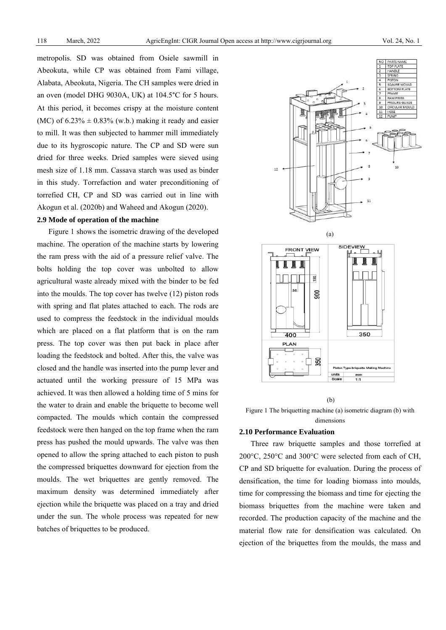metropolis. SD was obtained from Osiele sawmill in Abeokuta, while CP was obtained from Fami village, Alabata, Abeokuta, Nigeria. The CH samples were dried in an oven (model DHG 9030A, UK) at 104.5°C for 5 hours. At this period, it becomes crispy at the moisture content (MC) of  $6.23\% \pm 0.83\%$  (w.b.) making it ready and easier to mill. It was then subjected to hammer mill immediately due to its hygroscopic nature. The CP and SD were sun dried for three weeks. Dried samples were sieved using mesh size of 1.18 mm. Cassava starch was used as binder in this study. Torrefaction and water preconditioning of torrefied CH, CP and SD was carried out in line with Akogun et al. (2020b) and Waheed and Akogun (2020).

#### **2.9 Mode of operation of the machine**

Figure 1 shows the isometric drawing of the developed machine. The operation of the machine starts by lowering the ram press with the aid of a pressure relief valve. The bolts holding the top cover was unbolted to allow agricultural waste already mixed with the binder to be fed into the moulds. The top cover has twelve (12) piston rods with spring and flat plates attached to each. The rods are used to compress the feedstock in the individual moulds which are placed on a flat platform that is on the ram press. The top cover was then put back in place after loading the feedstock and bolted. After this, the valve was closed and the handle was inserted into the pump lever and actuated until the working pressure of 15 MPa was achieved. It was then allowed a holding time of 5 mins for the water to drain and enable the briquette to become well compacted. The moulds which contain the compressed feedstock were then hanged on the top frame when the ram press has pushed the mould upwards. The valve was then opened to allow the spring attached to each piston to push the compressed briquettes downward for ejection from the moulds. The wet briquettes are gently removed. The maximum density was determined immediately after ejection while the briquette was placed on a tray and dried under the sun. The whole process was repeated for new batches of briquettes to be produced.



#### (b)

Figure 1 The briquetting machine (a) isometric diagram (b) with dimensions

# **2.10 Performance Evaluation**

Three raw briquette samples and those torrefied at 200°C, 250°C and 300°C were selected from each of CH, CP and SD briquette for evaluation. During the process of densification, the time for loading biomass into moulds, time for compressing the biomass and time for ejecting the biomass briquettes from the machine were taken and recorded. The production capacity of the machine and the material flow rate for densification was calculated. On ejection of the briquettes from the moulds, the mass and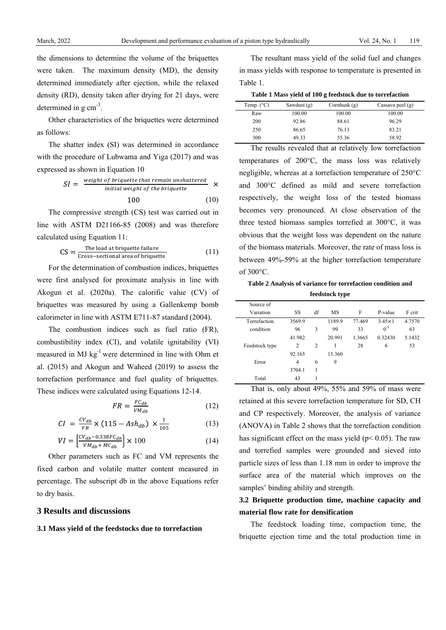the dimensions to determine the volume of the briquettes were taken. The maximum density (MD), the density determined immediately after ejection, while the relaxed density (RD), density taken after drying for 21 days, were determined in g  $cm<sup>3</sup>$ .

Other characteristics of the briquettes were determined as follows:

The shatter index (SI) was determined in accordance with the procedure of Lubwama and Yiga (2017) and was expressed as shown in Equation 10

$$
SI = \frac{\text{weight of brighter that remain unshattered}}{\text{initial weight of the brighter}} \times 100 \tag{10}
$$

The compressive strength (CS) test was carried out in line with ASTM D21166-85 (2008) and was therefore calculated using Equation 11:

$$
CS = \frac{\text{The load at brighter failure}}{\text{Cross-sectional area of brighter}}
$$
 (11)

For the determination of combustion indices, briquettes were first analysed for proximate analysis in line with Akogun et al. (2020a). The calorific value (CV) of briquettes was measured by using a Gallenkemp bomb calorimeter in line with ASTM E711-87 standard (2004).

The combustion indices such as fuel ratio (FR), combustibility index (CI), and volatile ignitability (VI) measured in MJ  $kg^{-1}$  were determined in line with Ohm et al. (2015) and Akogun and Waheed (2019) to assess the torrefaction performance and fuel quality of briquettes. These indices were calculated using Equations 12-14.

$$
FR = \frac{FC_{db}}{VM_{db}} \tag{12}
$$

$$
CI = \frac{CV_{db}}{FR} \times (115 - Ash_{db}) \times \frac{1}{105}
$$
 (13)

$$
VI = \left[\frac{CV_{db} - 0.338FC_{db}}{VM_{db} + MC_{db}}\right] \times 100\tag{14}
$$

Other parameters such as FC and VM represents the fixed carbon and volatile matter content measured in percentage. The subscript db in the above Equations refer to dry basis.

# **3 Results and discussions**

# **3.1 Mass yield of the feedstocks due to torrefaction**

The resultant mass yield of the solid fuel and changes in mass yields with response to temperature is presented in Table 1.

|  | Table 1 Mass yield of 100 g feedstock due to torrefaction |  |  |  |
|--|-----------------------------------------------------------|--|--|--|
|--|-----------------------------------------------------------|--|--|--|

| Temp. $(^{\circ}C)$ | Sawdust $(g)$ | Cornhusk $(g)$ | Cassava peel $(g)$ |
|---------------------|---------------|----------------|--------------------|
| Raw                 | 100.00        | 100.00         | 100.00             |
| 200                 | 92.86         | 88.61          | 96.29              |
| 250                 | 86.65         | 76.13          | 83.21              |
| 300                 | 49.33         | 55.36          | 58.92              |

The results revealed that at relatively low torrefaction temperatures of 200°C, the mass loss was relatively negligible, whereas at a torrefaction temperature of 250°C and 300°C defined as mild and severe torrefaction respectively, the weight loss of the tested biomass becomes very pronounced. At close observation of the three tested biomass samples torrefied at 300°C, it was obvious that the weight loss was dependent on the nature of the biomass materials. Moreover, the rate of mass loss is between 49%-59% at the higher torrefaction temperature of 300°C.

| Table 2 Analysis of variance for torrefaction condition and |
|-------------------------------------------------------------|
| feedstock type                                              |

| Source of      |                |    |           |        |                 |        |
|----------------|----------------|----|-----------|--------|-----------------|--------|
| Variation      | SS             | df | <b>MS</b> | F      | P-value         | F crit |
| Torrefaction   | 3569.9         |    | 1189.9    | 77.469 | $3.45 \times 1$ | 4.7570 |
| condition      | 96             | 3  | 99        | 33     | $0^{-5}$        | 63     |
|                | 41.982         |    | 20.991    | 1.3665 | 0.32430         | 5.1432 |
| Feedstock type | $\overline{c}$ | 2  | 1         | 28     | 6               | 53     |
|                | 92.165         |    | 15.360    |        |                 |        |
| Error          | 4              | 6  | 9         |        |                 |        |
|                | 3704.1         |    |           |        |                 |        |
| Total          | 43             |    |           |        |                 |        |

That is, only about 49%, 55% and 59% of mass were retained at this severe torrefaction temperature for SD, CH and CP respectively. Moreover, the analysis of variance (ANOVA) in Table 2 shows that the torrefaction condition has significant effect on the mass yield ( $p$  < 0.05). The raw and torrefied samples were grounded and sieved into particle sizes of less than 1.18 mm in order to improve the surface area of the material which improves on the samples' binding ability and strength.

# **3.2 Briquette production time, machine capacity and material flow rate for densification**

The feedstock loading time, compaction time, the briquette ejection time and the total production time in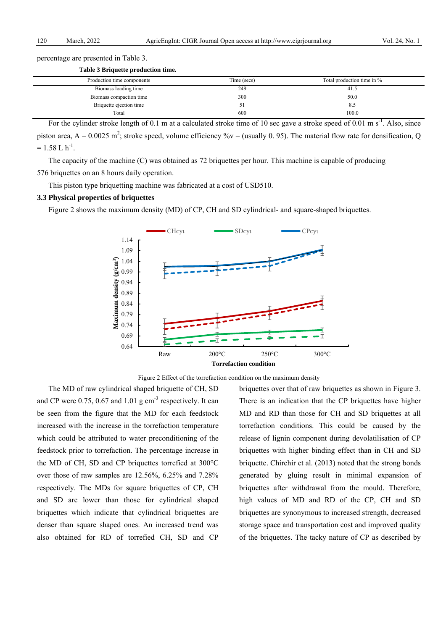percentage are presented in Table 3.

**Table 3 Briquette production time.** 

| Production time components | Time (secs) | Total production time in % |  |
|----------------------------|-------------|----------------------------|--|
| Biomass loading time       | 249         | 41.5                       |  |
| Biomass compaction time    | 300         | 50.0                       |  |
| Briquette ejection time    | J .         | 8.5                        |  |
| Total                      | 600         | 100.0                      |  |

For the cylinder stroke length of 0.1 m at a calculated stroke time of 10 sec gave a stroke speed of 0.01 m  $s^{-1}$ . Also, since piston area,  $A = 0.0025$  m<sup>2</sup>; stroke speed, volume efficiency %v = (usually 0.95). The material flow rate for densification, Q  $= 1.58$  L h<sup>-1</sup>.

The capacity of the machine (C) was obtained as 72 briquettes per hour. This machine is capable of producing 576 briquettes on an 8 hours daily operation.

This piston type briquetting machine was fabricated at a cost of USD510.

#### **3.3 Physical properties of briquettes**

Figure 2 shows the maximum density (MD) of CP, CH and SD cylindrical- and square-shaped briquettes.



Figure 2 Effect of the torrefaction condition on the maximum density

The MD of raw cylindrical shaped briquette of CH, SD and CP were  $0.75$ ,  $0.67$  and  $1.01$  g cm<sup>-3</sup> respectively. It can be seen from the figure that the MD for each feedstock increased with the increase in the torrefaction temperature which could be attributed to water preconditioning of the feedstock prior to torrefaction. The percentage increase in the MD of CH, SD and CP briquettes torrefied at 300°C over those of raw samples are 12.56%, 6.25% and 7.28% respectively. The MDs for square briquettes of CP, CH and SD are lower than those for cylindrical shaped briquettes which indicate that cylindrical briquettes are denser than square shaped ones. An increased trend was also obtained for RD of torrefied CH, SD and CP briquettes over that of raw briquettes as shown in Figure 3. There is an indication that the CP briquettes have higher MD and RD than those for CH and SD briquettes at all torrefaction conditions. This could be caused by the release of lignin component during devolatilisation of CP briquettes with higher binding effect than in CH and SD briquette. Chirchir et al. (2013) noted that the strong bonds generated by gluing result in minimal expansion of briquettes after withdrawal from the mould. Therefore, high values of MD and RD of the CP, CH and SD briquettes are synonymous to increased strength, decreased storage space and transportation cost and improved quality of the briquettes. The tacky nature of CP as described by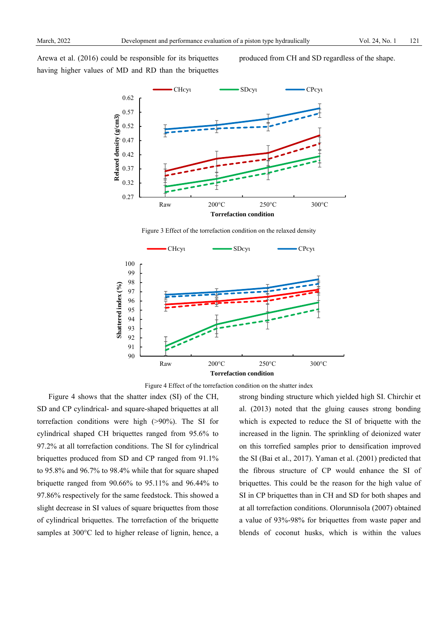Arewa et al. (2016) could be responsible for its briquettes having higher values of MD and RD than the briquettes produced from CH and SD regardless of the shape.



Figure 3 Effect of the torrefaction condition on the relaxed density



Figure 4 Effect of the torrefaction condition on the shatter index

Figure 4 shows that the shatter index (SI) of the CH, SD and CP cylindrical- and square-shaped briquettes at all torrefaction conditions were high (>90%). The SI for cylindrical shaped CH briquettes ranged from 95.6% to 97.2% at all torrefaction conditions. The SI for cylindrical briquettes produced from SD and CP ranged from 91.1% to 95.8% and 96.7% to 98.4% while that for square shaped briquette ranged from 90.66% to 95.11% and 96.44% to 97.86% respectively for the same feedstock. This showed a slight decrease in SI values of square briquettes from those of cylindrical briquettes. The torrefaction of the briquette samples at 300°C led to higher release of lignin, hence, a strong binding structure which yielded high SI. Chirchir et al. (2013) noted that the gluing causes strong bonding which is expected to reduce the SI of briquette with the increased in the lignin. The sprinkling of deionized water on this torrefied samples prior to densification improved the SI (Bai et al., 2017). Yaman et al. (2001) predicted that the fibrous structure of CP would enhance the SI of briquettes. This could be the reason for the high value of SI in CP briquettes than in CH and SD for both shapes and at all torrefaction conditions. Olorunnisola (2007) obtained a value of 93%-98% for briquettes from waste paper and blends of coconut husks, which is within the values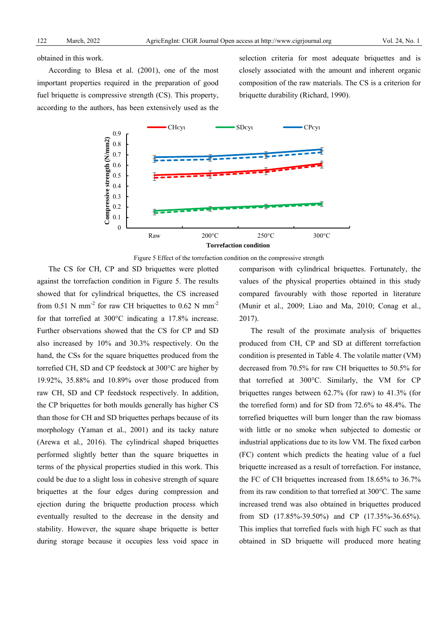obtained in this work.

According to Blesa et al. (2001), one of the most important properties required in the preparation of good fuel briquette is compressive strength (CS). This property, according to the authors, has been extensively used as the

selection criteria for most adequate briquettes and is closely associated with the amount and inherent organic composition of the raw materials. The CS is a criterion for briquette durability (Richard, 1990).



Figure 5 Effect of the torrefaction condition on the compressive strength

The CS for CH, CP and SD briquettes were plotted against the torrefaction condition in Figure 5. The results showed that for cylindrical briquettes, the CS increased from 0.51 N mm<sup>-2</sup> for raw CH briquettes to 0.62 N mm<sup>-2</sup> for that torrefied at 300°C indicating a 17.8% increase. Further observations showed that the CS for CP and SD also increased by 10% and 30.3% respectively. On the hand, the CSs for the square briquettes produced from the torrefied CH, SD and CP feedstock at 300°C are higher by 19.92%, 35.88% and 10.89% over those produced from raw CH, SD and CP feedstock respectively. In addition, the CP briquettes for both moulds generally has higher CS than those for CH and SD briquettes perhaps because of its morphology (Yaman et al*.*, 2001) and its tacky nature (Arewa et al*.,* 2016). The cylindrical shaped briquettes performed slightly better than the square briquettes in terms of the physical properties studied in this work. This could be due to a slight loss in cohesive strength of square briquettes at the four edges during compression and ejection during the briquette production process which eventually resulted to the decrease in the density and stability. However, the square shape briquette is better during storage because it occupies less void space in comparison with cylindrical briquettes. Fortunately, the values of the physical properties obtained in this study compared favourably with those reported in literature (Munir et al., 2009; Liao and Ma, 2010; Conag et al., 2017).

The result of the proximate analysis of briquettes produced from CH, CP and SD at different torrefaction condition is presented in Table 4. The volatile matter (VM) decreased from 70.5% for raw CH briquettes to 50.5% for that torrefied at 300°C. Similarly, the VM for CP briquettes ranges between 62.7% (for raw) to 41.3% (for the torrefied form) and for SD from 72.6% to 48.4%. The torrefied briquettes will burn longer than the raw biomass with little or no smoke when subjected to domestic or industrial applications due to its low VM. The fixed carbon (FC) content which predicts the heating value of a fuel briquette increased as a result of torrefaction. For instance, the FC of CH briquettes increased from 18.65% to 36.7% from its raw condition to that torrefied at 300°C. The same increased trend was also obtained in briquettes produced from SD (17.85%-39.50%) and CP (17.35%-36.65%). This implies that torrefied fuels with high FC such as that obtained in SD briquette will produced more heating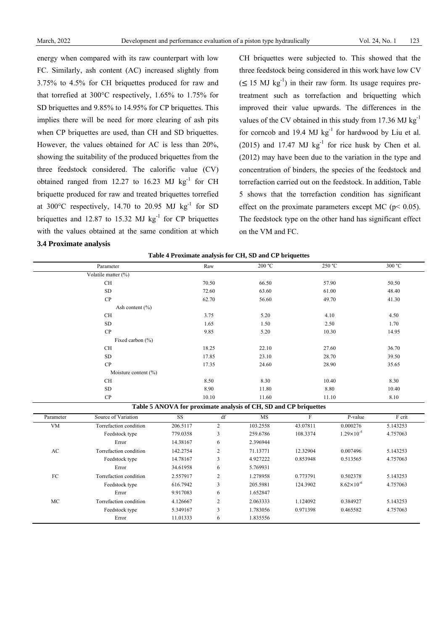energy when compared with its raw counterpart with low FC. Similarly, ash content (AC) increased slightly from 3.75% to 4.5% for CH briquettes produced for raw and that torrefied at 300°C respectively, 1.65% to 1.75% for SD briquettes and 9.85% to 14.95% for CP briquettes. This implies there will be need for more clearing of ash pits when CP briquettes are used, than CH and SD briquettes. However, the values obtained for AC is less than 20%, showing the suitability of the produced briquettes from the three feedstock considered. The calorific value (CV) obtained ranged from 12.27 to 16.23 MJ  $\text{kg}^{-1}$  for CH briquette produced for raw and treated briquettes torrefied at 300 $^{\circ}$ C respectively, 14.70 to 20.95 MJ kg<sup>-1</sup> for SD briquettes and 12.87 to 15.32 MJ  $kg^{-1}$  for CP briquettes with the values obtained at the same condition at which **3.4 Proximate analysis** 

CH briquettes were subjected to. This showed that the three feedstock being considered in this work have low CV  $(\leq 15$  MJ kg<sup>-1</sup>) in their raw form. Its usage requires pretreatment such as torrefaction and briquetting which improved their value upwards. The differences in the values of the CV obtained in this study from  $17.36 \text{ MJ kg}^{-1}$ for corncob and 19.4 MJ  $kg^{-1}$  for hardwood by Liu et al. (2015) and 17.47 MJ  $kg^{-1}$  for rice husk by Chen et al. (2012) may have been due to the variation in the type and concentration of binders, the species of the feedstock and torrefaction carried out on the feedstock. In addition, Table 5 shows that the torrefaction condition has significant effect on the proximate parameters except MC ( $p$  < 0.05). The feedstock type on the other hand has significant effect on the VM and FC.

|  |  |  | Table 4 Proximate analysis for CH, SD and CP briquettes |
|--|--|--|---------------------------------------------------------|
|  |  |  |                                                         |

|            | Parameter              |           | Raw            | 200 °C                                                           |                | 250 °C                | 300 °C   |
|------------|------------------------|-----------|----------------|------------------------------------------------------------------|----------------|-----------------------|----------|
|            | Volatile matter (%)    |           |                |                                                                  |                |                       |          |
|            | <b>CH</b>              |           | 70.50          | 66.50                                                            |                | 57.90                 | 50.50    |
| ${\rm SD}$ |                        |           | 72.60          |                                                                  | 61.00          |                       | 48.40    |
|            | CP                     |           | 62.70          | 56.60                                                            |                | 49.70                 | 41.30    |
|            | Ash content $(\% )$    |           |                |                                                                  |                |                       |          |
|            | CH                     |           | 3.75           | 5.20                                                             |                | 4.10                  | 4.50     |
|            | ${\rm SD}$             |           | 1.65           | 1.50                                                             |                | 2.50                  | 1.70     |
|            | CP                     |           | 9.85           | 5.20                                                             |                | 10.30                 | 14.95    |
|            | Fixed carbon (%)       |           |                |                                                                  |                |                       |          |
|            | <b>CH</b>              |           | 18.25          | 22.10                                                            |                | 27.60                 | 36.70    |
|            | ${\rm SD}$             |           | 17.85          | 23.10                                                            |                | 28.70                 | 39.50    |
|            | CP                     |           | 17.35          | 24.60                                                            |                | 28.90                 | 35.65    |
|            | Moisture content (%)   |           |                |                                                                  |                |                       |          |
|            | <b>CH</b>              |           | 8.50           | 8.30                                                             |                | 10.40                 | 8.30     |
| <b>SD</b>  |                        |           | 8.90<br>10.10  |                                                                  |                | 8.80                  |          |
|            | CP                     |           |                |                                                                  | 11.60<br>11.10 |                       | 8.10     |
|            |                        |           |                | Table 5 ANOVA for proximate analysis of CH, SD and CP briquettes |                |                       |          |
| Parameter  | Source of Variation    | <b>SS</b> | df             | <b>MS</b>                                                        | $\rm F$        | P-value               | F crit   |
| <b>VM</b>  | Torrefaction condition | 206.5117  | $\overline{c}$ | 103.2558                                                         | 43.07811       | 0.000276              | 5.143253 |
|            | Feedstock type         | 779.0358  | 3              | 259.6786                                                         | 108.3374       | $1.29 \times 10^{-5}$ | 4.757063 |
|            | Error                  | 14.38167  | 6              | 2.396944                                                         |                |                       |          |
| AC         | Torrefaction condition | 142.2754  | 2              | 71.13771                                                         | 12.32904       | 0.007496              | 5.143253 |
|            | Feedstock type         | 14.78167  | 3              | 4.927222                                                         | 0.853948       | 0.513565              | 4.757063 |
|            | Error                  | 34.61958  | 6              | 5.769931                                                         |                |                       |          |
| ${\rm FC}$ | Torrefaction condition | 2.557917  | 2              | 1.278958                                                         | 0.773791       | 0.502378              | 5.143253 |
|            | Feedstock type         | 616.7942  | 3              | 205.5981                                                         | 124.3902       | $8.62 \times 10^{-6}$ | 4.757063 |
|            | Error                  | 9.917083  | 6              | 1.652847                                                         |                |                       |          |
| MC         | Torrefaction condition | 4.126667  | 2              | 2.063333                                                         | 1.124092       | 0.384927              | 5.143253 |
|            | Feedstock type         | 5.349167  | 3              | 1.783056                                                         | 0.971398       | 0.465582              | 4.757063 |
|            | Error                  | 11.01333  | 6              | 1.835556                                                         |                |                       |          |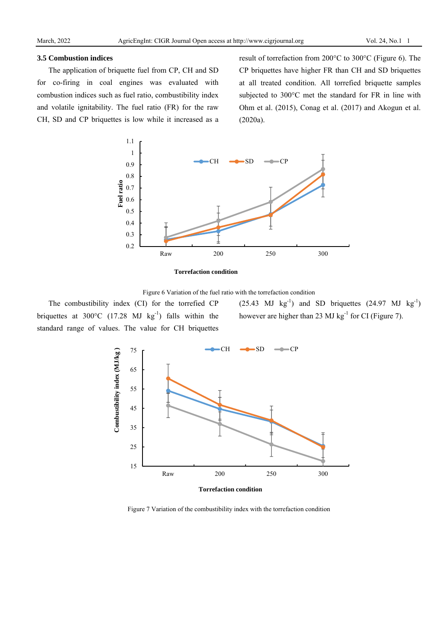#### **3.5 Combustion indices**

The application of briquette fuel from CP, CH and SD for co-firing in coal engines was evaluated with combustion indices such as fuel ratio, combustibility index and volatile ignitability. The fuel ratio (FR) for the raw CH, SD and CP briquettes is low while it increased as a

result of torrefaction from 200°C to 300°C (Figure 6). The CP briquettes have higher FR than CH and SD briquettes at all treated condition. All torrefied briquette samples subjected to 300°C met the standard for FR in line with Ohm et al. (2015), Conag et al. (2017) and Akogun et al. (2020a).







The combustibility index (CI) for the torrefied CP briquettes at 300°C (17.28 MJ kg<sup>-1</sup>) falls within the standard range of values. The value for CH briquettes  $(25.43 \text{ MJ kg}^{-1})$  and SD briquettes  $(24.97 \text{ MJ kg}^{-1})$ however are higher than 23 MJ  $kg^{-1}$  for CI (Figure 7).



Figure 7 Variation of the combustibility index with the torrefaction condition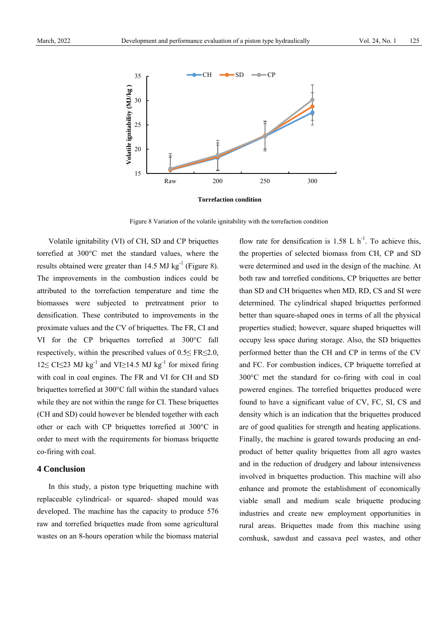

**Torrefaction condition**

Figure 8 Variation of the volatile ignitability with the torrefaction condition

Volatile ignitability (VI) of CH, SD and CP briquettes torrefied at 300°C met the standard values, where the results obtained were greater than 14.5 MJ kg<sup>-1</sup> (Figure 8). The improvements in the combustion indices could be attributed to the torrefaction temperature and time the biomasses were subjected to pretreatment prior to densification. These contributed to improvements in the proximate values and the CV of briquettes. The FR, CI and VI for the CP briquettes torrefied at 300°C fall respectively, within the prescribed values of 0.5≤ FR≤2.0,  $12 \leq C$ I $\leq$ 23 MJ kg<sup>-1</sup> and VI $\geq$ 14.5 MJ kg<sup>-1</sup> for mixed firing with coal in coal engines. The FR and VI for CH and SD briquettes torrefied at 300°C fall within the standard values while they are not within the range for CI. These briquettes (CH and SD) could however be blended together with each other or each with CP briquettes torrefied at 300°C in order to meet with the requirements for biomass briquette co-firing with coal.

#### **4 Conclusion**

In this study, a piston type briquetting machine with replaceable cylindrical- or squared- shaped mould was developed. The machine has the capacity to produce 576 raw and torrefied briquettes made from some agricultural wastes on an 8-hours operation while the biomass material

flow rate for densification is  $1.58 \text{ L h}^{-1}$ . To achieve this, the properties of selected biomass from CH, CP and SD were determined and used in the design of the machine. At both raw and torrefied conditions, CP briquettes are better than SD and CH briquettes when MD, RD, CS and SI were determined. The cylindrical shaped briquettes performed better than square-shaped ones in terms of all the physical properties studied; however, square shaped briquettes will occupy less space during storage. Also, the SD briquettes performed better than the CH and CP in terms of the CV and FC. For combustion indices, CP briquette torrefied at 300°C met the standard for co-firing with coal in coal powered engines. The torrefied briquettes produced were found to have a significant value of CV, FC, SI, CS and density which is an indication that the briquettes produced are of good qualities for strength and heating applications. Finally, the machine is geared towards producing an endproduct of better quality briquettes from all agro wastes and in the reduction of drudgery and labour intensiveness involved in briquettes production. This machine will also enhance and promote the establishment of economically viable small and medium scale briquette producing industries and create new employment opportunities in rural areas. Briquettes made from this machine using cornhusk, sawdust and cassava peel wastes, and other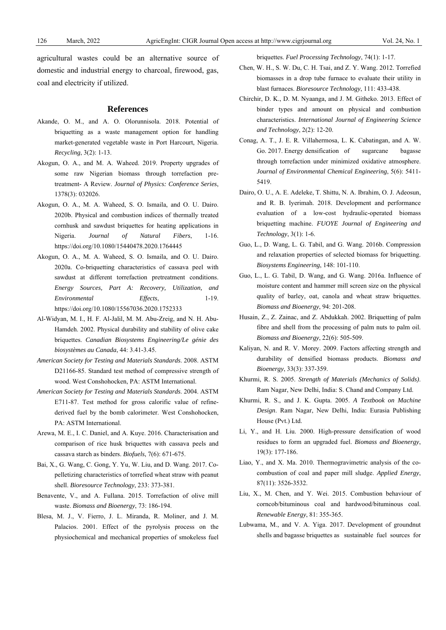agricultural wastes could be an alternative source of domestic and industrial energy to charcoal, firewood, gas, coal and electricity if utilized.

#### **References**

- Akande, O. M., and A. O. Olorunnisola. 2018. Potential of briquetting as a waste management option for handling market-generated vegetable waste in Port Harcourt, Nigeria. *Recycling*, 3(2): 1-13.
- Akogun, O. A., and M. A. Waheed. 2019. Property upgrades of some raw Nigerian biomass through torrefaction pretreatment- A Review. *Journal of Physics: Conference Series*, 1378(3): 032026.
- Akogun, O. A., M. A. Waheed, S. O. Ismaila, and O. U. Dairo. 2020b. Physical and combustion indices of thermally treated cornhusk and sawdust briquettes for heating applications in Nigeria. *Journal of Natural Fibers*, 1-16. https://doi.org/10.1080/15440478.2020.1764445
- Akogun, O. A., M. A. Waheed, S. O. Ismaila, and O. U. Dairo. 2020a. Co-briquetting characteristics of cassava peel with sawdust at different torrefaction pretreatment conditions. *Energy Sources, Part A: Recovery, Utilization, and Environmental Effects*, 1-19. https://doi.org/10.1080/15567036.2020.1752333
- Al-Widyan, M. I., H. F. Al-Jalil, M. M. Abu-Zreig, and N. H. Abu-Hamdeh. 2002. Physical durability and stability of olive cake briquettes. *Canadian Biosystems Engineering/Le génie des biosystèmes au Canada*, 44: 3.41-3.45.
- *American Society for Testing and Materials Standards*. 2008. ASTM D21166-85. Standard test method of compressive strength of wood. West Conshohocken, PA: ASTM International.
- *American Society for Testing and Materials Standards*. 2004. ASTM E711-87. Test method for gross calorific value of refinederived fuel by the bomb calorimeter. West Conshohocken, PA: ASTM International.
- Arewa, M. E., I. C. Daniel, and A. Kuye. 2016. Characterisation and comparison of rice husk briquettes with cassava peels and cassava starch as binders. *Biofuels*, 7(6): 671-675.
- Bai, X., G. Wang, C. Gong, Y. Yu, W. Liu, and D. Wang. 2017. Copelletizing characteristics of torrefied wheat straw with peanut shell. *Bioresource Technology*, 233: 373-381.
- Benavente, V., and A. Fullana. 2015. Torrefaction of olive mill waste. *Biomass and Bioenergy*, 73: 186-194.
- Blesa, M. J., V. Fierro, J. L. Miranda, R. Moliner, and J. M. Palacios. 2001. Effect of the pyrolysis process on the physiochemical and mechanical properties of smokeless fuel

briquettes. *Fuel Processing Technology*, 74(1): 1-17.

- Chen, W. H., S. W. Du, C. H. Tsai, and Z. Y. Wang. 2012. Torrefied biomasses in a drop tube furnace to evaluate their utility in blast furnaces. *Bioresource Technology*, 111: 433-438.
- Chirchir, D. K., D. M. Nyaanga, and J. M. Githeko. 2013. Effect of binder types and amount on physical and combustion characteristics. *International Journal of Engineering Science and Technology*, 2(2): 12-20.
- Conag, A. T., J. E. R. Villahermosa, L. K. Cabatingan, and A. W. Go. 2017. Energy densification of sugarcane bagasse through torrefaction under minimized oxidative atmosphere. *Journal of Environmental Chemical Engineering*, 5(6): 5411- 5419.
- Dairo, O. U., A. E. Adeleke, T. Shittu, N. A. Ibrahim, O. J. Adeosun, and R. B. Iyerimah. 2018. Development and performance evaluation of a low-cost hydraulic-operated biomass briquetting machine. *FUOYE Journal of Engineering and Technology*, 3(1): 1-6.
- Guo, L., D. Wang, L. G. Tabil, and G. Wang. 2016b. Compression and relaxation properties of selected biomass for briquetting. *Biosystems Engineering*, 148: 101-110.
- Guo, L., L. G. Tabil, D. Wang, and G. Wang. 2016a. Influence of moisture content and hammer mill screen size on the physical quality of barley, oat, canola and wheat straw briquettes. *Biomass and Bioenergy*, 94: 201-208.
- Husain, Z., Z. Zainac, and Z. Abdukkah. 2002. Briquetting of palm fibre and shell from the processing of palm nuts to palm oil. *Biomass and Bioenergy*, 22(6): 505-509.
- Kaliyan, N. and R. V. Morey. 2009. Factors affecting strength and durability of densified biomass products. *Biomass and Bioenergy*, 33(3): 337-359.
- Khurmi, R. S. 2005. *Strength of Materials (Mechanics of Solids)*. Ram Nagar, New Delhi, India: S. Chand and Company Ltd.
- Khurmi, R. S., and J. K. Gupta. 2005. *A Textbook on Machine Design*. Ram Nagar, New Delhi, India: Eurasia Publishing House (Pvt.) Ltd.
- Li, Y., and H. Liu. 2000. High-pressure densification of wood residues to form an upgraded fuel. *Biomass and Bioenergy*, 19(3): 177-186.
- Liao, Y., and X. Ma. 2010. Thermogravimetric analysis of the cocombustion of coal and paper mill sludge. *Applied Energy*, 87(11): 3526-3532.
- Liu, X., M. Chen, and Y. Wei. 2015. Combustion behaviour of corncob/bituminous coal and hardwood/bituminous coal. *Renewable Energy*, 81: 355-365.
- Lubwama, M., and V. A. Yiga. 2017. Development of groundnut shells and bagasse briquettes as sustainable fuel sources for